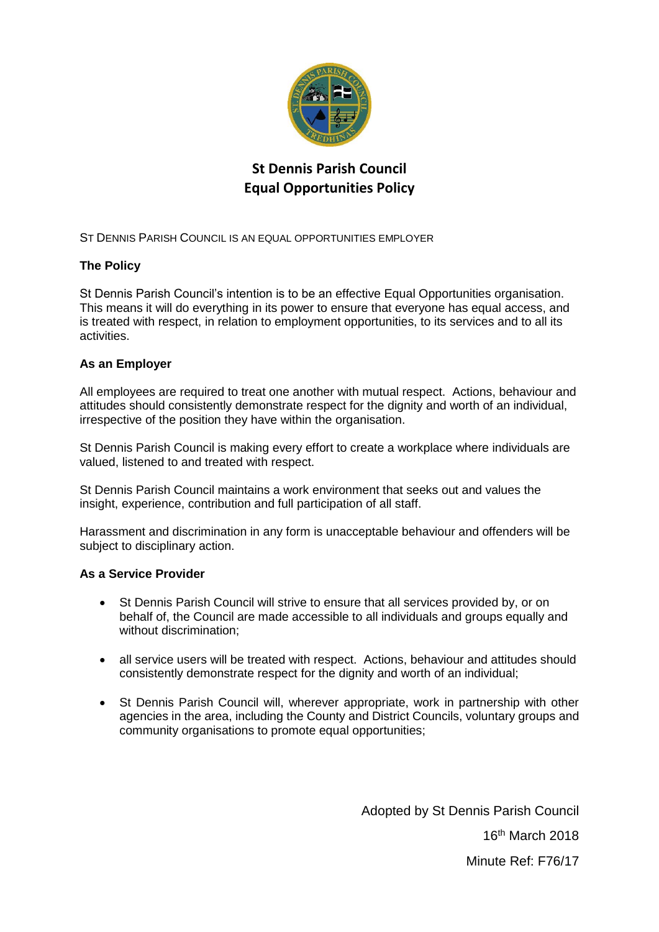

# **St Dennis Parish Council Equal Opportunities Policy**

ST DENNIS PARISH COUNCIL IS AN EQUAL OPPORTUNITIES EMPLOYER

# **The Policy**

St Dennis Parish Council's intention is to be an effective Equal Opportunities organisation. This means it will do everything in its power to ensure that everyone has equal access, and is treated with respect, in relation to employment opportunities, to its services and to all its activities.

## **As an Employer**

All employees are required to treat one another with mutual respect. Actions, behaviour and attitudes should consistently demonstrate respect for the dignity and worth of an individual, irrespective of the position they have within the organisation.

St Dennis Parish Council is making every effort to create a workplace where individuals are valued, listened to and treated with respect.

St Dennis Parish Council maintains a work environment that seeks out and values the insight, experience, contribution and full participation of all staff.

Harassment and discrimination in any form is unacceptable behaviour and offenders will be subject to disciplinary action.

#### **As a Service Provider**

- St Dennis Parish Council will strive to ensure that all services provided by, or on behalf of, the Council are made accessible to all individuals and groups equally and without discrimination;
- all service users will be treated with respect. Actions, behaviour and attitudes should consistently demonstrate respect for the dignity and worth of an individual;
- St Dennis Parish Council will, wherever appropriate, work in partnership with other agencies in the area, including the County and District Councils, voluntary groups and community organisations to promote equal opportunities;

Adopted by St Dennis Parish Council 16th March 2018 Minute Ref: F76/17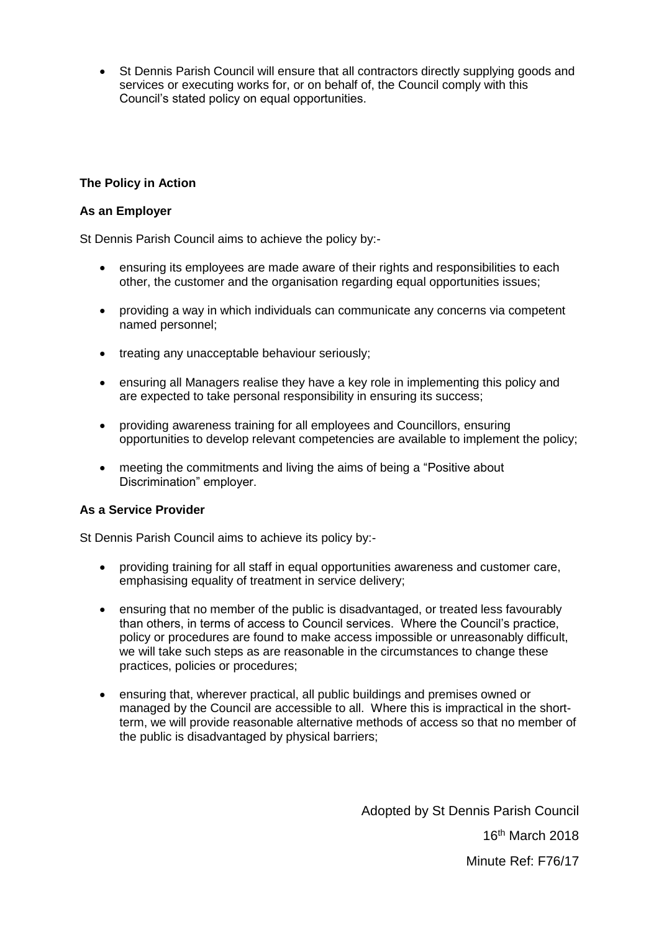• St Dennis Parish Council will ensure that all contractors directly supplying goods and services or executing works for, or on behalf of, the Council comply with this Council's stated policy on equal opportunities.

#### **The Policy in Action**

#### **As an Employer**

St Dennis Parish Council aims to achieve the policy by:-

- ensuring its employees are made aware of their rights and responsibilities to each other, the customer and the organisation regarding equal opportunities issues;
- providing a way in which individuals can communicate any concerns via competent named personnel;
- treating any unacceptable behaviour seriously;
- ensuring all Managers realise they have a key role in implementing this policy and are expected to take personal responsibility in ensuring its success;
- providing awareness training for all employees and Councillors, ensuring opportunities to develop relevant competencies are available to implement the policy;
- meeting the commitments and living the aims of being a "Positive about" Discrimination" employer.

#### **As a Service Provider**

St Dennis Parish Council aims to achieve its policy by:-

- providing training for all staff in equal opportunities awareness and customer care, emphasising equality of treatment in service delivery;
- ensuring that no member of the public is disadvantaged, or treated less favourably than others, in terms of access to Council services. Where the Council's practice, policy or procedures are found to make access impossible or unreasonably difficult, we will take such steps as are reasonable in the circumstances to change these practices, policies or procedures;
- ensuring that, wherever practical, all public buildings and premises owned or managed by the Council are accessible to all. Where this is impractical in the shortterm, we will provide reasonable alternative methods of access so that no member of the public is disadvantaged by physical barriers;

Adopted by St Dennis Parish Council 16th March 2018 Minute Ref: F76/17